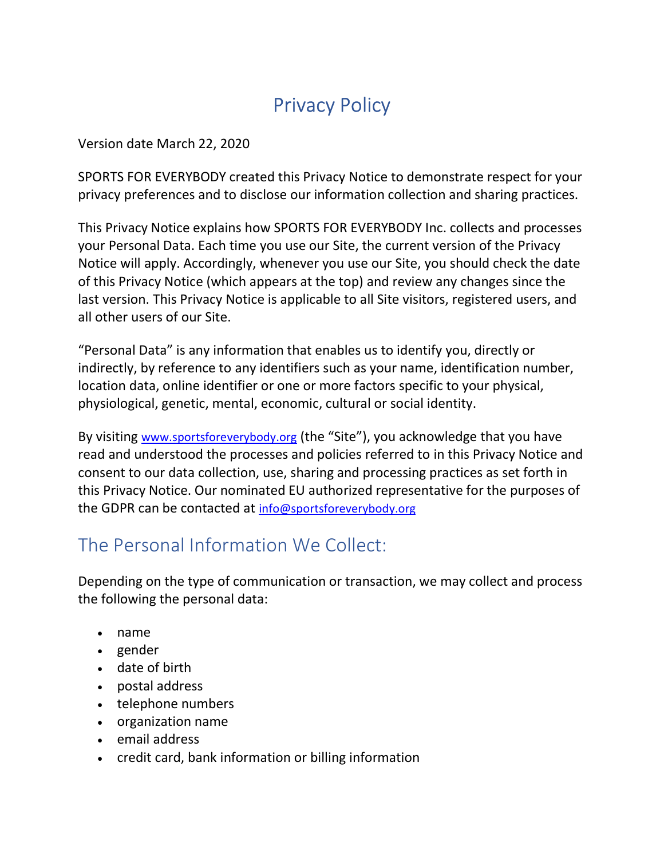# Privacy Policy

Version date March 22, 2020

SPORTS FOR EVERYBODY created this Privacy Notice to demonstrate respect for your privacy preferences and to disclose our information collection and sharing practices.

This Privacy Notice explains how SPORTS FOR EVERYBODY Inc. collects and processes your Personal Data. Each time you use our Site, the current version of the Privacy Notice will apply. Accordingly, whenever you use our Site, you should check the date of this Privacy Notice (which appears at the top) and review any changes since the last version. This Privacy Notice is applicable to all Site visitors, registered users, and all other users of our Site.

"Personal Data" is any information that enables us to identify you, directly or indirectly, by reference to any identifiers such as your name, identification number, location data, online identifier or one or more factors specific to your physical, physiological, genetic, mental, economic, cultural or social identity.

By visiting www.sportsforeverybody.org (the "Site"), you acknowledge that you have read and understood the processes and policies referred to in this Privacy Notice and consent to our data collection, use, sharing and processing practices as set forth in this Privacy Notice. Our nominated EU authorized representative for the purposes of the GDPR can be contacted at info@sportsforeverybody.org

# The Personal Information We Collect:

Depending on the type of communication or transaction, we may collect and process the following the personal data:

- name
- gender
- date of birth
- postal address
- telephone numbers
- organization name
- email address
- credit card, bank information or billing information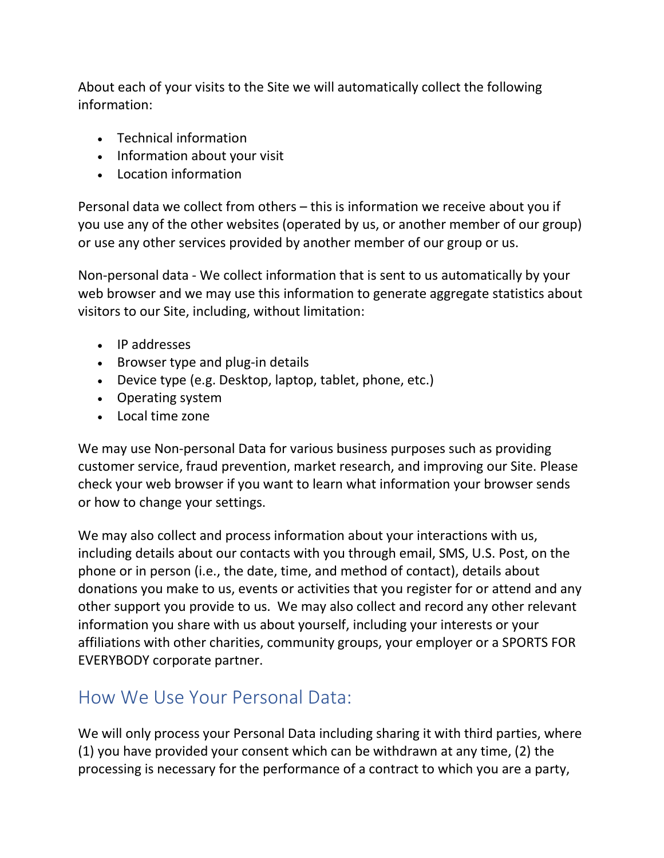About each of your visits to the Site we will automatically collect the following information:

- Technical information
- Information about your visit
- Location information

Personal data we collect from others – this is information we receive about you if you use any of the other websites (operated by us, or another member of our group) or use any other services provided by another member of our group or us.

Non-personal data - We collect information that is sent to us automatically by your web browser and we may use this information to generate aggregate statistics about visitors to our Site, including, without limitation:

- IP addresses
- Browser type and plug-in details
- Device type (e.g. Desktop, laptop, tablet, phone, etc.)
- Operating system
- Local time zone

We may use Non-personal Data for various business purposes such as providing customer service, fraud prevention, market research, and improving our Site. Please check your web browser if you want to learn what information your browser sends or how to change your settings.

We may also collect and process information about your interactions with us, including details about our contacts with you through email, SMS, U.S. Post, on the phone or in person (i.e., the date, time, and method of contact), details about donations you make to us, events or activities that you register for or attend and any other support you provide to us. We may also collect and record any other relevant information you share with us about yourself, including your interests or your affiliations with other charities, community groups, your employer or a SPORTS FOR EVERYBODY corporate partner.

# How We Use Your Personal Data:

We will only process your Personal Data including sharing it with third parties, where (1) you have provided your consent which can be withdrawn at any time, (2) the processing is necessary for the performance of a contract to which you are a party,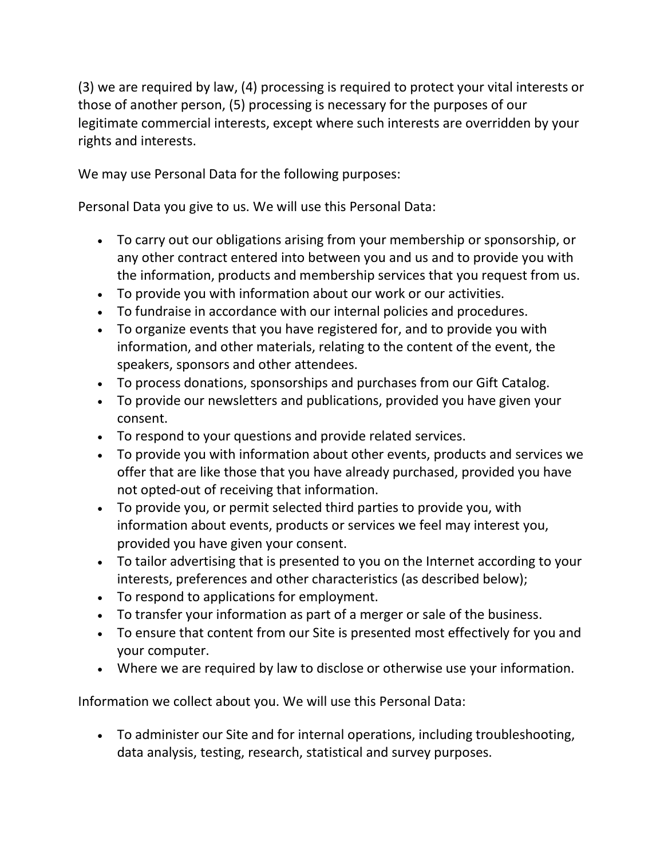(3) we are required by law, (4) processing is required to protect your vital interests or those of another person, (5) processing is necessary for the purposes of our legitimate commercial interests, except where such interests are overridden by your rights and interests.

We may use Personal Data for the following purposes:

Personal Data you give to us. We will use this Personal Data:

- To carry out our obligations arising from your membership or sponsorship, or any other contract entered into between you and us and to provide you with the information, products and membership services that you request from us.
- To provide you with information about our work or our activities.
- To fundraise in accordance with our internal policies and procedures.
- To organize events that you have registered for, and to provide you with information, and other materials, relating to the content of the event, the speakers, sponsors and other attendees.
- To process donations, sponsorships and purchases from our Gift Catalog.
- To provide our newsletters and publications, provided you have given your consent.
- To respond to your questions and provide related services.
- To provide you with information about other events, products and services we offer that are like those that you have already purchased, provided you have not opted-out of receiving that information.
- To provide you, or permit selected third parties to provide you, with information about events, products or services we feel may interest you, provided you have given your consent.
- To tailor advertising that is presented to you on the Internet according to your interests, preferences and other characteristics (as described below);
- To respond to applications for employment.
- To transfer your information as part of a merger or sale of the business.
- To ensure that content from our Site is presented most effectively for you and your computer.
- Where we are required by law to disclose or otherwise use your information.

Information we collect about you. We will use this Personal Data:

 To administer our Site and for internal operations, including troubleshooting, data analysis, testing, research, statistical and survey purposes.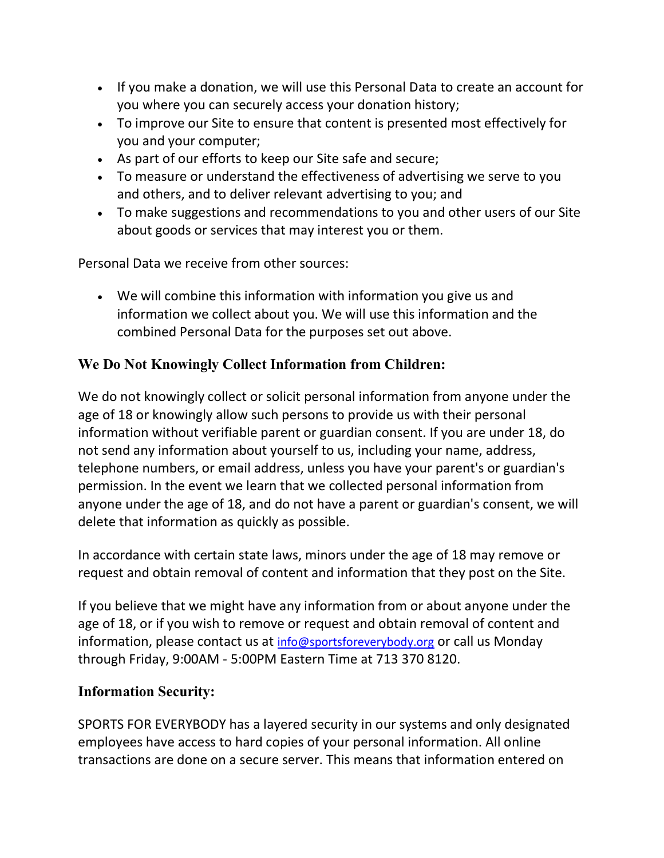- If you make a donation, we will use this Personal Data to create an account for you where you can securely access your donation history;
- To improve our Site to ensure that content is presented most effectively for you and your computer;
- As part of our efforts to keep our Site safe and secure;
- To measure or understand the effectiveness of advertising we serve to you and others, and to deliver relevant advertising to you; and
- To make suggestions and recommendations to you and other users of our Site about goods or services that may interest you or them.

Personal Data we receive from other sources:

 We will combine this information with information you give us and information we collect about you. We will use this information and the combined Personal Data for the purposes set out above.

## We Do Not Knowingly Collect Information from Children:

We do not knowingly collect or solicit personal information from anyone under the age of 18 or knowingly allow such persons to provide us with their personal information without verifiable parent or guardian consent. If you are under 18, do not send any information about yourself to us, including your name, address, telephone numbers, or email address, unless you have your parent's or guardian's permission. In the event we learn that we collected personal information from anyone under the age of 18, and do not have a parent or guardian's consent, we will delete that information as quickly as possible.

In accordance with certain state laws, minors under the age of 18 may remove or request and obtain removal of content and information that they post on the Site.

If you believe that we might have any information from or about anyone under the age of 18, or if you wish to remove or request and obtain removal of content and information, please contact us at info@sportsforeverybody.org or call us Monday through Friday, 9:00AM - 5:00PM Eastern Time at 713 370 8120.

#### Information Security:

SPORTS FOR EVERYBODY has a layered security in our systems and only designated employees have access to hard copies of your personal information. All online transactions are done on a secure server. This means that information entered on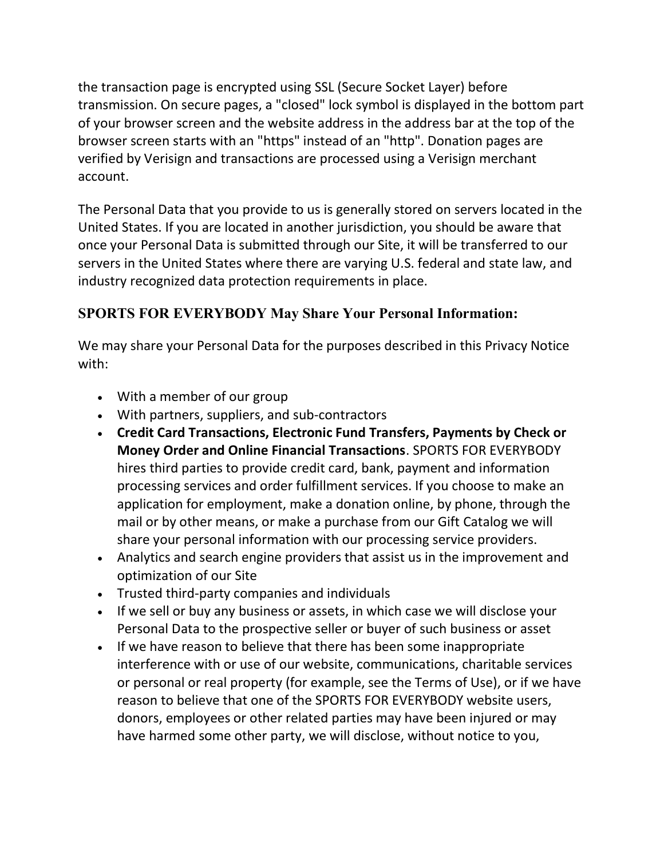the transaction page is encrypted using SSL (Secure Socket Layer) before transmission. On secure pages, a "closed" lock symbol is displayed in the bottom part of your browser screen and the website address in the address bar at the top of the browser screen starts with an "https" instead of an "http". Donation pages are verified by Verisign and transactions are processed using a Verisign merchant account.

The Personal Data that you provide to us is generally stored on servers located in the United States. If you are located in another jurisdiction, you should be aware that once your Personal Data is submitted through our Site, it will be transferred to our servers in the United States where there are varying U.S. federal and state law, and industry recognized data protection requirements in place.

# SPORTS FOR EVERYBODY May Share Your Personal Information:

We may share your Personal Data for the purposes described in this Privacy Notice with:

- With a member of our group
- With partners, suppliers, and sub-contractors
- Credit Card Transactions, Electronic Fund Transfers, Payments by Check or Money Order and Online Financial Transactions. SPORTS FOR EVERYBODY hires third parties to provide credit card, bank, payment and information processing services and order fulfillment services. If you choose to make an application for employment, make a donation online, by phone, through the mail or by other means, or make a purchase from our Gift Catalog we will share your personal information with our processing service providers.
- Analytics and search engine providers that assist us in the improvement and optimization of our Site
- Trusted third-party companies and individuals
- If we sell or buy any business or assets, in which case we will disclose your Personal Data to the prospective seller or buyer of such business or asset
- If we have reason to believe that there has been some inappropriate interference with or use of our website, communications, charitable services or personal or real property (for example, see the Terms of Use), or if we have reason to believe that one of the SPORTS FOR EVERYBODY website users, donors, employees or other related parties may have been injured or may have harmed some other party, we will disclose, without notice to you,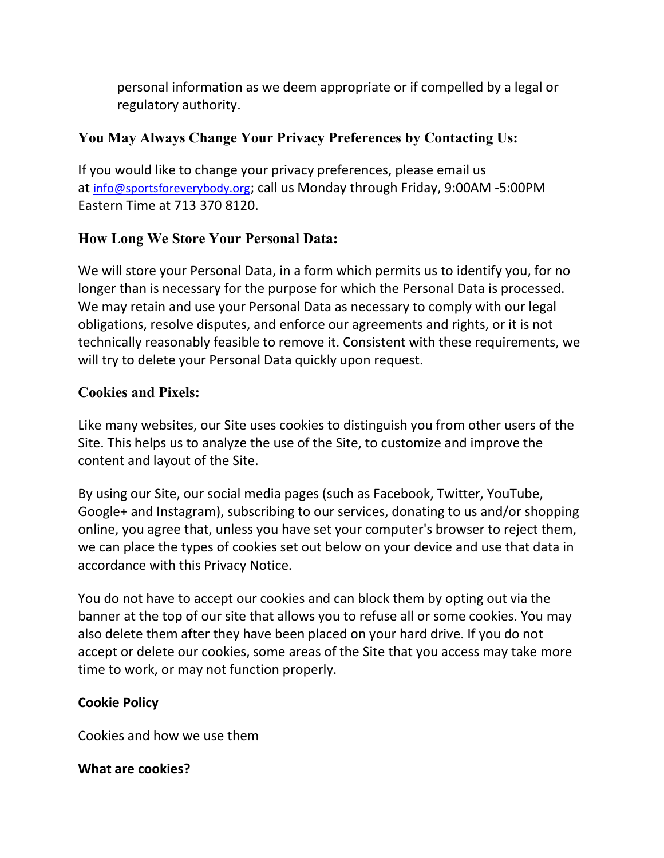personal information as we deem appropriate or if compelled by a legal or regulatory authority.

# You May Always Change Your Privacy Preferences by Contacting Us:

If you would like to change your privacy preferences, please email us at info@sportsforeverybody.org; call us Monday through Friday, 9:00AM -5:00PM Eastern Time at 713 370 8120.

#### How Long We Store Your Personal Data:

We will store your Personal Data, in a form which permits us to identify you, for no longer than is necessary for the purpose for which the Personal Data is processed. We may retain and use your Personal Data as necessary to comply with our legal obligations, resolve disputes, and enforce our agreements and rights, or it is not technically reasonably feasible to remove it. Consistent with these requirements, we will try to delete your Personal Data quickly upon request.

## Cookies and Pixels:

Like many websites, our Site uses cookies to distinguish you from other users of the Site. This helps us to analyze the use of the Site, to customize and improve the content and layout of the Site.

By using our Site, our social media pages (such as Facebook, Twitter, YouTube, Google+ and Instagram), subscribing to our services, donating to us and/or shopping online, you agree that, unless you have set your computer's browser to reject them, we can place the types of cookies set out below on your device and use that data in accordance with this Privacy Notice.

You do not have to accept our cookies and can block them by opting out via the banner at the top of our site that allows you to refuse all or some cookies. You may also delete them after they have been placed on your hard drive. If you do not accept or delete our cookies, some areas of the Site that you access may take more time to work, or may not function properly.

#### Cookie Policy

Cookies and how we use them

#### What are cookies?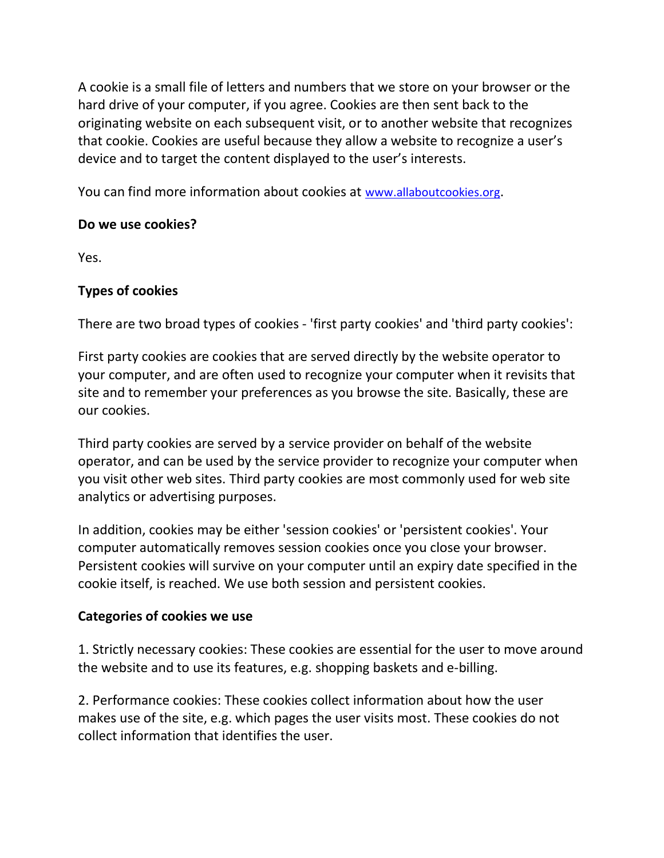A cookie is a small file of letters and numbers that we store on your browser or the hard drive of your computer, if you agree. Cookies are then sent back to the originating website on each subsequent visit, or to another website that recognizes that cookie. Cookies are useful because they allow a website to recognize a user's device and to target the content displayed to the user's interests.

You can find more information about cookies at www.allaboutcookies.org.

#### Do we use cookies?

Yes.

#### Types of cookies

There are two broad types of cookies - 'first party cookies' and 'third party cookies':

First party cookies are cookies that are served directly by the website operator to your computer, and are often used to recognize your computer when it revisits that site and to remember your preferences as you browse the site. Basically, these are our cookies.

Third party cookies are served by a service provider on behalf of the website operator, and can be used by the service provider to recognize your computer when you visit other web sites. Third party cookies are most commonly used for web site analytics or advertising purposes.

In addition, cookies may be either 'session cookies' or 'persistent cookies'. Your computer automatically removes session cookies once you close your browser. Persistent cookies will survive on your computer until an expiry date specified in the cookie itself, is reached. We use both session and persistent cookies.

#### Categories of cookies we use

1. Strictly necessary cookies: These cookies are essential for the user to move around the website and to use its features, e.g. shopping baskets and e-billing.

2. Performance cookies: These cookies collect information about how the user makes use of the site, e.g. which pages the user visits most. These cookies do not collect information that identifies the user.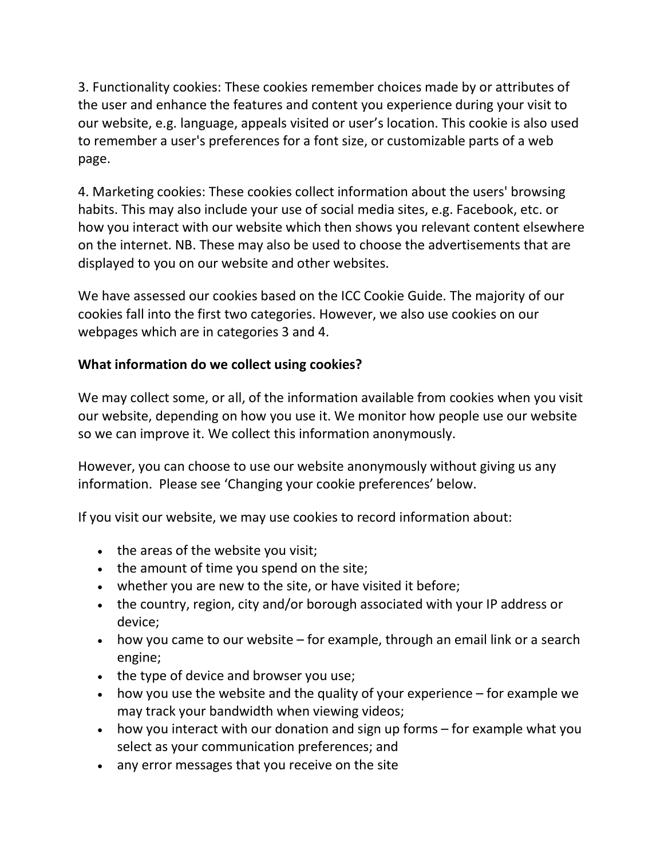3. Functionality cookies: These cookies remember choices made by or attributes of the user and enhance the features and content you experience during your visit to our website, e.g. language, appeals visited or user's location. This cookie is also used to remember a user's preferences for a font size, or customizable parts of a web page.

4. Marketing cookies: These cookies collect information about the users' browsing habits. This may also include your use of social media sites, e.g. Facebook, etc. or how you interact with our website which then shows you relevant content elsewhere on the internet. NB. These may also be used to choose the advertisements that are displayed to you on our website and other websites.

We have assessed our cookies based on the ICC Cookie Guide. The majority of our cookies fall into the first two categories. However, we also use cookies on our webpages which are in categories 3 and 4.

#### What information do we collect using cookies?

We may collect some, or all, of the information available from cookies when you visit our website, depending on how you use it. We monitor how people use our website so we can improve it. We collect this information anonymously.

However, you can choose to use our website anonymously without giving us any information. Please see 'Changing your cookie preferences' below.

If you visit our website, we may use cookies to record information about:

- the areas of the website you visit;
- the amount of time you spend on the site;
- whether you are new to the site, or have visited it before;
- the country, region, city and/or borough associated with your IP address or device;
- how you came to our website for example, through an email link or a search engine;
- the type of device and browser you use;
- $\bullet$  how you use the website and the quality of your experience for example we may track your bandwidth when viewing videos;
- how you interact with our donation and sign up forms for example what you select as your communication preferences; and
- any error messages that you receive on the site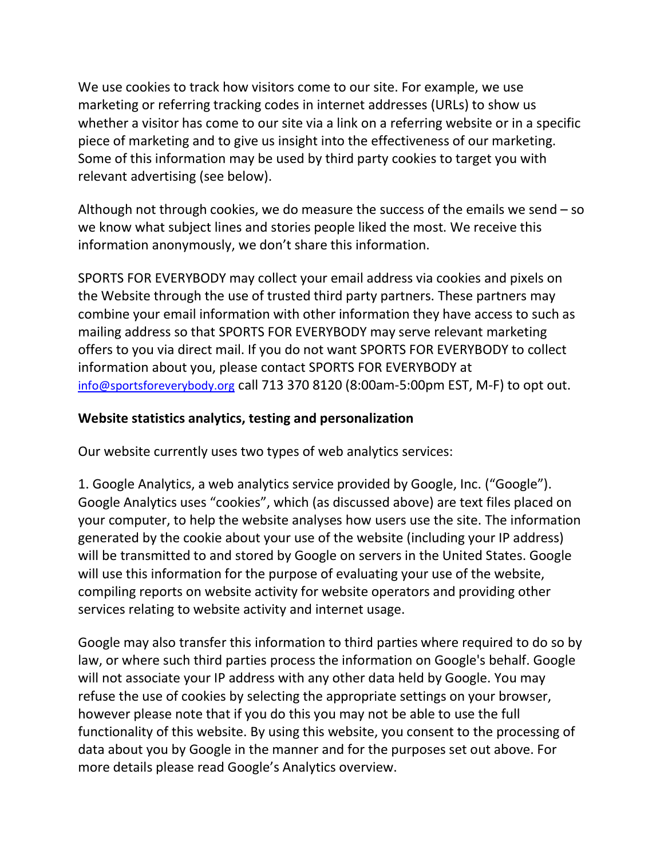We use cookies to track how visitors come to our site. For example, we use marketing or referring tracking codes in internet addresses (URLs) to show us whether a visitor has come to our site via a link on a referring website or in a specific piece of marketing and to give us insight into the effectiveness of our marketing. Some of this information may be used by third party cookies to target you with relevant advertising (see below).

Although not through cookies, we do measure the success of the emails we send – so we know what subject lines and stories people liked the most. We receive this information anonymously, we don't share this information.

SPORTS FOR EVERYBODY may collect your email address via cookies and pixels on the Website through the use of trusted third party partners. These partners may combine your email information with other information they have access to such as mailing address so that SPORTS FOR EVERYBODY may serve relevant marketing offers to you via direct mail. If you do not want SPORTS FOR EVERYBODY to collect information about you, please contact SPORTS FOR EVERYBODY at info@sportsforeverybody.org call 713 370 8120 (8:00am-5:00pm EST, M-F) to opt out.

## Website statistics analytics, testing and personalization

Our website currently uses two types of web analytics services:

1. Google Analytics, a web analytics service provided by Google, Inc. ("Google"). Google Analytics uses "cookies", which (as discussed above) are text files placed on your computer, to help the website analyses how users use the site. The information generated by the cookie about your use of the website (including your IP address) will be transmitted to and stored by Google on servers in the United States. Google will use this information for the purpose of evaluating your use of the website, compiling reports on website activity for website operators and providing other services relating to website activity and internet usage.

Google may also transfer this information to third parties where required to do so by law, or where such third parties process the information on Google's behalf. Google will not associate your IP address with any other data held by Google. You may refuse the use of cookies by selecting the appropriate settings on your browser, however please note that if you do this you may not be able to use the full functionality of this website. By using this website, you consent to the processing of data about you by Google in the manner and for the purposes set out above. For more details please read Google's Analytics overview.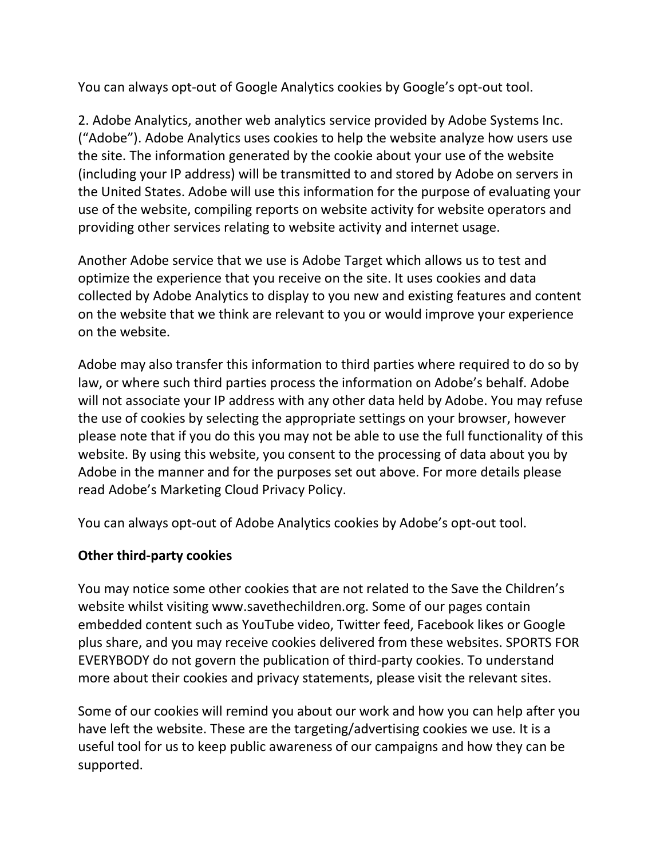You can always opt-out of Google Analytics cookies by Google's opt-out tool.

2. Adobe Analytics, another web analytics service provided by Adobe Systems Inc. ("Adobe"). Adobe Analytics uses cookies to help the website analyze how users use the site. The information generated by the cookie about your use of the website (including your IP address) will be transmitted to and stored by Adobe on servers in the United States. Adobe will use this information for the purpose of evaluating your use of the website, compiling reports on website activity for website operators and providing other services relating to website activity and internet usage.

Another Adobe service that we use is Adobe Target which allows us to test and optimize the experience that you receive on the site. It uses cookies and data collected by Adobe Analytics to display to you new and existing features and content on the website that we think are relevant to you or would improve your experience on the website.

Adobe may also transfer this information to third parties where required to do so by law, or where such third parties process the information on Adobe's behalf. Adobe will not associate your IP address with any other data held by Adobe. You may refuse the use of cookies by selecting the appropriate settings on your browser, however please note that if you do this you may not be able to use the full functionality of this website. By using this website, you consent to the processing of data about you by Adobe in the manner and for the purposes set out above. For more details please read Adobe's Marketing Cloud Privacy Policy.

You can always opt-out of Adobe Analytics cookies by Adobe's opt-out tool.

#### Other third-party cookies

You may notice some other cookies that are not related to the Save the Children's website whilst visiting www.savethechildren.org. Some of our pages contain embedded content such as YouTube video, Twitter feed, Facebook likes or Google plus share, and you may receive cookies delivered from these websites. SPORTS FOR EVERYBODY do not govern the publication of third-party cookies. To understand more about their cookies and privacy statements, please visit the relevant sites.

Some of our cookies will remind you about our work and how you can help after you have left the website. These are the targeting/advertising cookies we use. It is a useful tool for us to keep public awareness of our campaigns and how they can be supported.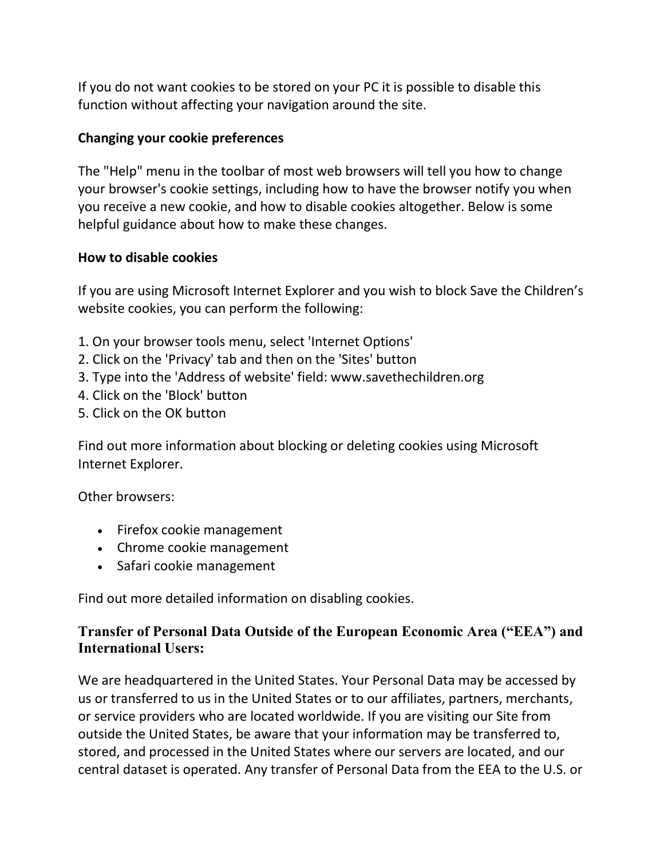If you do not want cookies to be stored on your PC it is possible to disable this function without affecting your navigation around the site.

#### Changing your cookie preferences

The "Help" menu in the toolbar of most web browsers will tell you how to change your browser's cookie settings, including how to have the browser notify you when you receive a new cookie, and how to disable cookies altogether. Below is some helpful guidance about how to make these changes.

#### How to disable cookies

If you are using Microsoft Internet Explorer and you wish to block Save the Children's website cookies, you can perform the following:

- 1. On your browser tools menu, select 'Internet Options'
- 2. Click on the 'Privacy' tab and then on the 'Sites' button
- 3. Type into the 'Address of website' field: www.savethechildren.org
- 4. Click on the 'Block' button
- 5. Click on the OK button

Find out more information about blocking or deleting cookies using Microsoft Internet Explorer.

Other browsers:

- Firefox cookie management
- Chrome cookie management
- Safari cookie management

Find out more detailed information on disabling cookies.

#### Transfer of Personal Data Outside of the European Economic Area ("EEA") and International Users:

We are headquartered in the United States. Your Personal Data may be accessed by us or transferred to us in the United States or to our affiliates, partners, merchants, or service providers who are located worldwide. If you are visiting our Site from outside the United States, be aware that your information may be transferred to, stored, and processed in the United States where our servers are located, and our central dataset is operated. Any transfer of Personal Data from the EEA to the U.S. or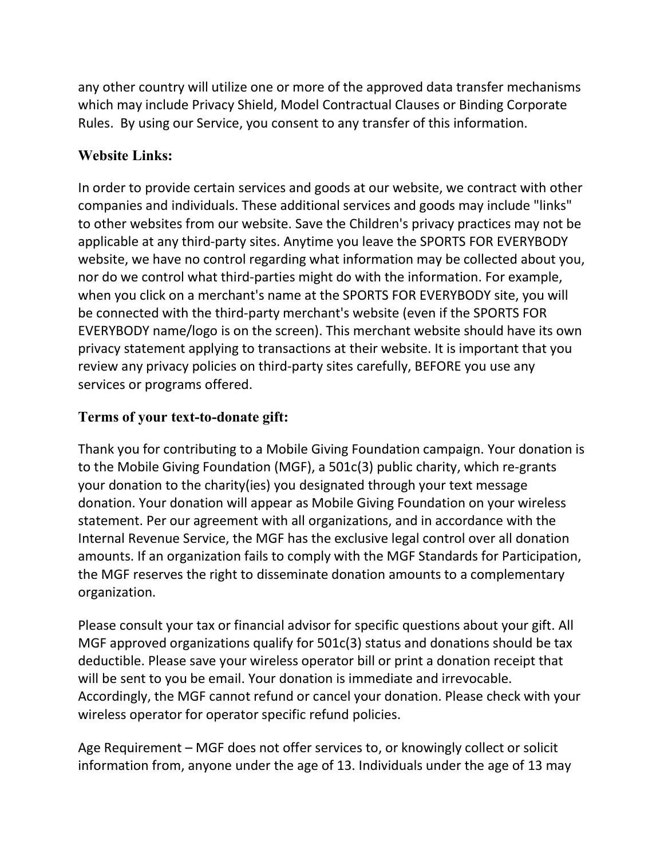any other country will utilize one or more of the approved data transfer mechanisms which may include Privacy Shield, Model Contractual Clauses or Binding Corporate Rules. By using our Service, you consent to any transfer of this information.

# Website Links:

In order to provide certain services and goods at our website, we contract with other companies and individuals. These additional services and goods may include "links" to other websites from our website. Save the Children's privacy practices may not be applicable at any third-party sites. Anytime you leave the SPORTS FOR EVERYBODY website, we have no control regarding what information may be collected about you, nor do we control what third-parties might do with the information. For example, when you click on a merchant's name at the SPORTS FOR EVERYBODY site, you will be connected with the third-party merchant's website (even if the SPORTS FOR EVERYBODY name/logo is on the screen). This merchant website should have its own privacy statement applying to transactions at their website. It is important that you review any privacy policies on third-party sites carefully, BEFORE you use any services or programs offered.

#### Terms of your text-to-donate gift:

Thank you for contributing to a Mobile Giving Foundation campaign. Your donation is to the Mobile Giving Foundation (MGF), a 501c(3) public charity, which re-grants your donation to the charity(ies) you designated through your text message donation. Your donation will appear as Mobile Giving Foundation on your wireless statement. Per our agreement with all organizations, and in accordance with the Internal Revenue Service, the MGF has the exclusive legal control over all donation amounts. If an organization fails to comply with the MGF Standards for Participation, the MGF reserves the right to disseminate donation amounts to a complementary organization.

Please consult your tax or financial advisor for specific questions about your gift. All MGF approved organizations qualify for 501c(3) status and donations should be tax deductible. Please save your wireless operator bill or print a donation receipt that will be sent to you be email. Your donation is immediate and irrevocable. Accordingly, the MGF cannot refund or cancel your donation. Please check with your wireless operator for operator specific refund policies.

Age Requirement – MGF does not offer services to, or knowingly collect or solicit information from, anyone under the age of 13. Individuals under the age of 13 may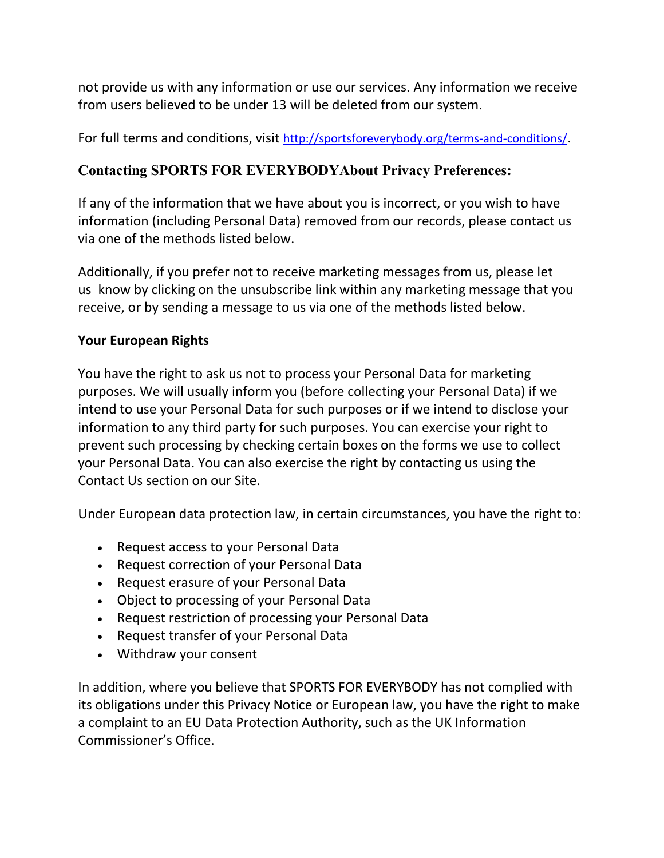not provide us with any information or use our services. Any information we receive from users believed to be under 13 will be deleted from our system.

For full terms and conditions, visit http://sportsforeverybody.org/terms-and-conditions/.

# Contacting SPORTS FOR EVERYBODYAbout Privacy Preferences:

If any of the information that we have about you is incorrect, or you wish to have information (including Personal Data) removed from our records, please contact us via one of the methods listed below.

Additionally, if you prefer not to receive marketing messages from us, please let us know by clicking on the unsubscribe link within any marketing message that you receive, or by sending a message to us via one of the methods listed below.

#### Your European Rights

You have the right to ask us not to process your Personal Data for marketing purposes. We will usually inform you (before collecting your Personal Data) if we intend to use your Personal Data for such purposes or if we intend to disclose your information to any third party for such purposes. You can exercise your right to prevent such processing by checking certain boxes on the forms we use to collect your Personal Data. You can also exercise the right by contacting us using the Contact Us section on our Site.

Under European data protection law, in certain circumstances, you have the right to:

- Request access to your Personal Data
- Request correction of your Personal Data
- Request erasure of your Personal Data
- Object to processing of your Personal Data
- Request restriction of processing your Personal Data
- Request transfer of your Personal Data
- Withdraw your consent

In addition, where you believe that SPORTS FOR EVERYBODY has not complied with its obligations under this Privacy Notice or European law, you have the right to make a complaint to an EU Data Protection Authority, such as the UK Information Commissioner's Office.